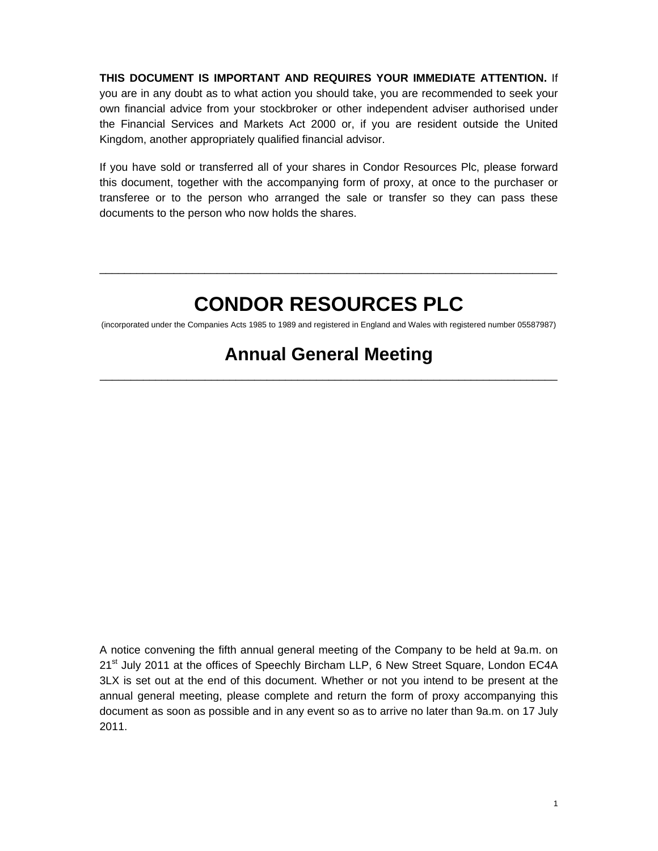#### **THIS DOCUMENT IS IMPORTANT AND REQUIRES YOUR IMMEDIATE ATTENTION.** If

you are in any doubt as to what action you should take, you are recommended to seek your own financial advice from your stockbroker or other independent adviser authorised under the Financial Services and Markets Act 2000 or, if you are resident outside the United Kingdom, another appropriately qualified financial advisor.

If you have sold or transferred all of your shares in Condor Resources Plc, please forward this document, together with the accompanying form of proxy, at once to the purchaser or transferee or to the person who arranged the sale or transfer so they can pass these documents to the person who now holds the shares.

## **CONDOR RESOURCES PLC**

\_\_\_\_\_\_\_\_\_\_\_\_\_\_\_\_\_\_\_\_\_\_\_\_\_\_\_\_\_\_\_\_\_\_\_\_\_\_\_\_\_\_\_\_\_\_\_\_\_\_\_\_\_\_\_\_\_\_\_\_\_\_\_\_\_\_\_\_\_\_\_\_\_\_

(incorporated under the Companies Acts 1985 to 1989 and registered in England and Wales with registered number 05587987)

## **Annual General Meeting**

\_\_\_\_\_\_\_\_\_\_\_\_\_\_\_\_\_\_\_\_\_\_\_\_\_\_\_\_\_\_\_\_\_\_\_\_\_\_\_\_\_\_\_\_\_\_\_\_\_\_\_\_\_\_\_\_\_\_\_\_\_\_\_\_\_\_\_\_\_\_\_\_\_\_

A notice convening the fifth annual general meeting of the Company to be held at 9a.m. on 21<sup>st</sup> July 2011 at the offices of Speechly Bircham LLP, 6 New Street Square, London EC4A 3LX is set out at the end of this document. Whether or not you intend to be present at the annual general meeting, please complete and return the form of proxy accompanying this document as soon as possible and in any event so as to arrive no later than 9a.m. on 17 July 2011.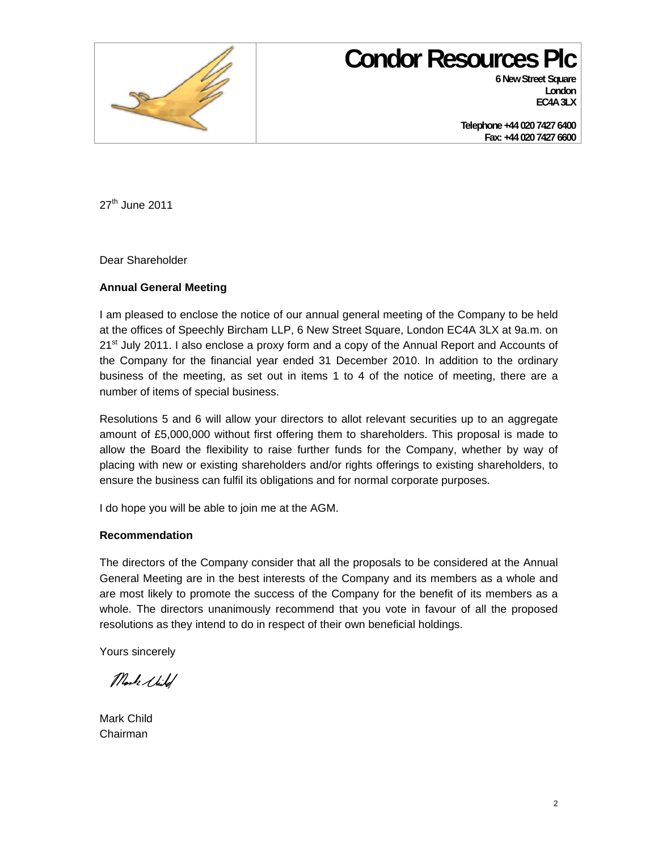

# **Condor Resources Plc**

**6 New Street Square London EC4A 3LX** 

**Telephone +44 020 7427 6400 Fax: +44 020 7427 6600** 

27<sup>th</sup> June 2011

Dear Shareholder

#### **Annual General Meeting**

I am pleased to enclose the notice of our annual general meeting of the Company to be held at the offices of Speechly Bircham LLP, 6 New Street Square, London EC4A 3LX at 9a.m. on 21<sup>st</sup> July 2011. I also enclose a proxy form and a copy of the Annual Report and Accounts of the Company for the financial year ended 31 December 2010. In addition to the ordinary business of the meeting, as set out in items 1 to 4 of the notice of meeting, there are a number of items of special business.

Resolutions 5 and 6 will allow your directors to allot relevant securities up to an aggregate amount of £5,000,000 without first offering them to shareholders. This proposal is made to allow the Board the flexibility to raise further funds for the Company, whether by way of placing with new or existing shareholders and/or rights offerings to existing shareholders, to ensure the business can fulfil its obligations and for normal corporate purposes.

I do hope you will be able to join me at the AGM.

#### **Recommendation**

The directors of the Company consider that all the proposals to be considered at the Annual General Meeting are in the best interests of the Company and its members as a whole and are most likely to promote the success of the Company for the benefit of its members as a whole. The directors unanimously recommend that you vote in favour of all the proposed resolutions as they intend to do in respect of their own beneficial holdings.

Yours sincerely

Mock Shild

Mark Child Chairman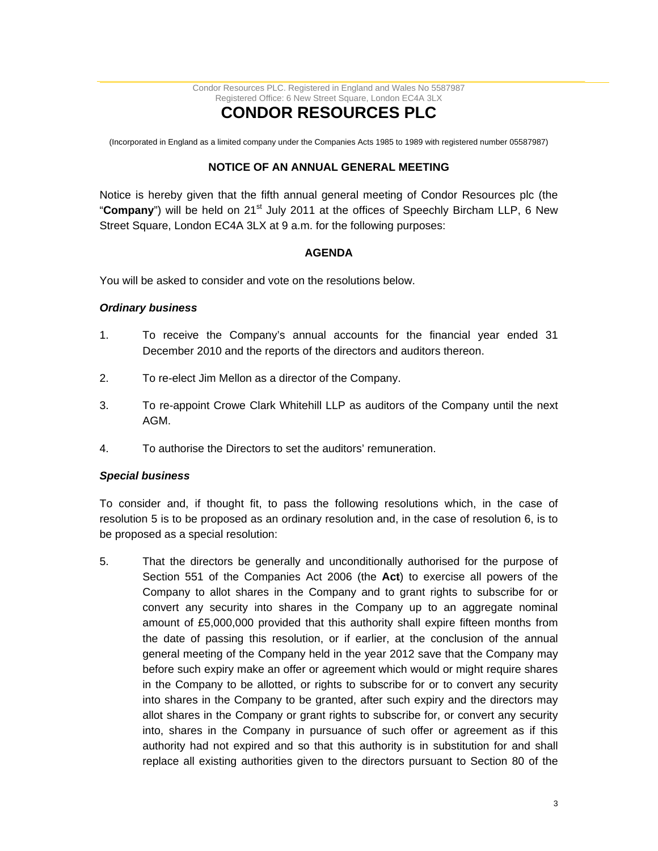Condor Resources PLC. Registered in England and Wales No 5587987 Registered Office: 6 New Street Square, London EC4A 3LX

## **CONDOR RESOURCES PLC**

(Incorporated in England as a limited company under the Companies Acts 1985 to 1989 with registered number 05587987)

#### **NOTICE OF AN ANNUAL GENERAL MEETING**

Notice is hereby given that the fifth annual general meeting of Condor Resources plc (the "Company") will be held on 21<sup>st</sup> July 2011 at the offices of Speechly Bircham LLP, 6 New Street Square, London EC4A 3LX at 9 a.m. for the following purposes:

#### **AGENDA**

You will be asked to consider and vote on the resolutions below.

#### *Ordinary business*

- 1. To receive the Company's annual accounts for the financial year ended 31 December 2010 and the reports of the directors and auditors thereon.
- 2. To re-elect Jim Mellon as a director of the Company.
- 3. To re-appoint Crowe Clark Whitehill LLP as auditors of the Company until the next AGM.
- 4. To authorise the Directors to set the auditors' remuneration.

#### *Special business*

To consider and, if thought fit, to pass the following resolutions which, in the case of resolution 5 is to be proposed as an ordinary resolution and, in the case of resolution 6, is to be proposed as a special resolution:

5. That the directors be generally and unconditionally authorised for the purpose of Section 551 of the Companies Act 2006 (the **Act**) to exercise all powers of the Company to allot shares in the Company and to grant rights to subscribe for or convert any security into shares in the Company up to an aggregate nominal amount of £5,000,000 provided that this authority shall expire fifteen months from the date of passing this resolution, or if earlier, at the conclusion of the annual general meeting of the Company held in the year 2012 save that the Company may before such expiry make an offer or agreement which would or might require shares in the Company to be allotted, or rights to subscribe for or to convert any security into shares in the Company to be granted, after such expiry and the directors may allot shares in the Company or grant rights to subscribe for, or convert any security into, shares in the Company in pursuance of such offer or agreement as if this authority had not expired and so that this authority is in substitution for and shall replace all existing authorities given to the directors pursuant to Section 80 of the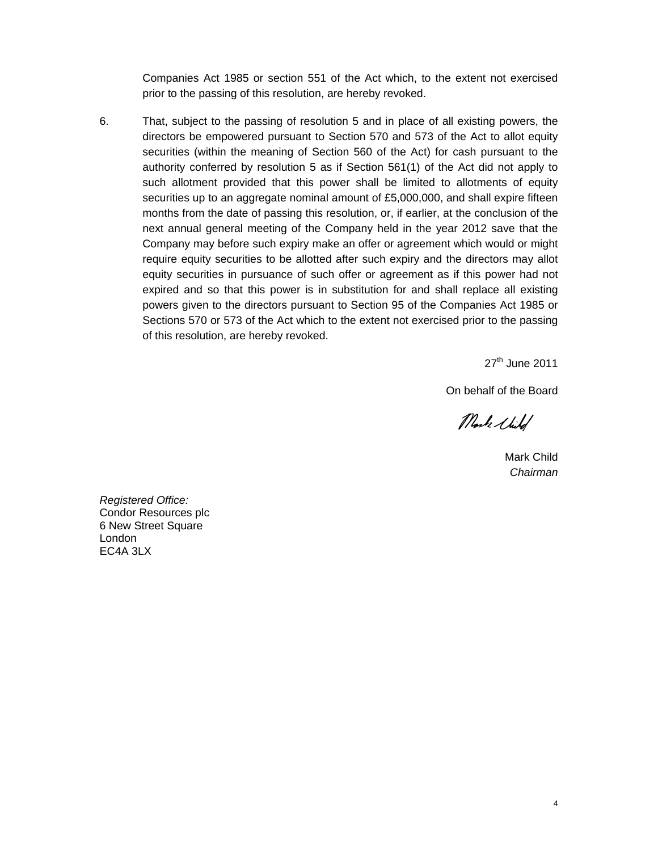Companies Act 1985 or section 551 of the Act which, to the extent not exercised prior to the passing of this resolution, are hereby revoked.

6. That, subject to the passing of resolution 5 and in place of all existing powers, the directors be empowered pursuant to Section 570 and 573 of the Act to allot equity securities (within the meaning of Section 560 of the Act) for cash pursuant to the authority conferred by resolution 5 as if Section 561(1) of the Act did not apply to such allotment provided that this power shall be limited to allotments of equity securities up to an aggregate nominal amount of £5,000,000, and shall expire fifteen months from the date of passing this resolution, or, if earlier, at the conclusion of the next annual general meeting of the Company held in the year 2012 save that the Company may before such expiry make an offer or agreement which would or might require equity securities to be allotted after such expiry and the directors may allot equity securities in pursuance of such offer or agreement as if this power had not expired and so that this power is in substitution for and shall replace all existing powers given to the directors pursuant to Section 95 of the Companies Act 1985 or Sections 570 or 573 of the Act which to the extent not exercised prior to the passing of this resolution, are hereby revoked.

27<sup>th</sup> June 2011

On behalf of the Board

Mark Shild

Mark Child *Chairman* 

*Registered Office:*  Condor Resources plc 6 New Street Square London EC4A 3LX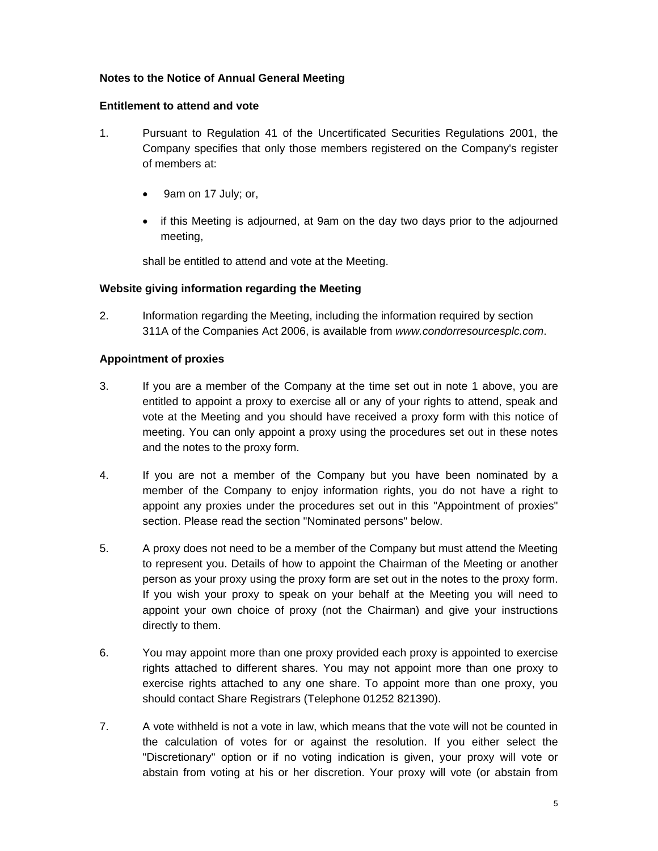#### **Notes to the Notice of Annual General Meeting**

#### **Entitlement to attend and vote**

- 1. Pursuant to Regulation 41 of the Uncertificated Securities Regulations 2001, the Company specifies that only those members registered on the Company's register of members at:
	- 9am on 17 July; or,
	- if this Meeting is adjourned, at 9am on the day two days prior to the adjourned meeting,

shall be entitled to attend and vote at the Meeting.

#### **Website giving information regarding the Meeting**

2. Information regarding the Meeting, including the information required by section 311A of the Companies Act 2006, is available from *www.condorresourcesplc.com*.

#### **Appointment of proxies**

- 3. If you are a member of the Company at the time set out in note 1 above, you are entitled to appoint a proxy to exercise all or any of your rights to attend, speak and vote at the Meeting and you should have received a proxy form with this notice of meeting. You can only appoint a proxy using the procedures set out in these notes and the notes to the proxy form.
- 4. If you are not a member of the Company but you have been nominated by a member of the Company to enjoy information rights, you do not have a right to appoint any proxies under the procedures set out in this "Appointment of proxies" section. Please read the section "Nominated persons" below.
- 5. A proxy does not need to be a member of the Company but must attend the Meeting to represent you. Details of how to appoint the Chairman of the Meeting or another person as your proxy using the proxy form are set out in the notes to the proxy form. If you wish your proxy to speak on your behalf at the Meeting you will need to appoint your own choice of proxy (not the Chairman) and give your instructions directly to them.
- 6. You may appoint more than one proxy provided each proxy is appointed to exercise rights attached to different shares. You may not appoint more than one proxy to exercise rights attached to any one share. To appoint more than one proxy, you should contact Share Registrars (Telephone 01252 821390).
- 7. A vote withheld is not a vote in law, which means that the vote will not be counted in the calculation of votes for or against the resolution. If you either select the "Discretionary" option or if no voting indication is given, your proxy will vote or abstain from voting at his or her discretion. Your proxy will vote (or abstain from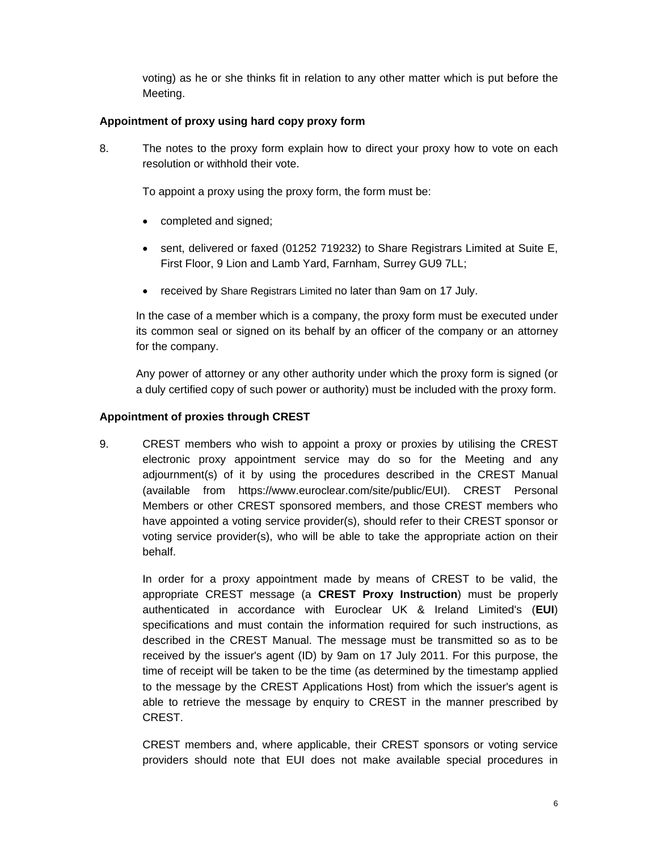voting) as he or she thinks fit in relation to any other matter which is put before the Meeting.

#### **Appointment of proxy using hard copy proxy form**

8. The notes to the proxy form explain how to direct your proxy how to vote on each resolution or withhold their vote.

To appoint a proxy using the proxy form, the form must be:

- completed and signed;
- sent, delivered or faxed (01252 719232) to Share Registrars Limited at Suite E, First Floor, 9 Lion and Lamb Yard, Farnham, Surrey GU9 7LL;
- received by Share Registrars Limited no later than 9am on 17 July.

In the case of a member which is a company, the proxy form must be executed under its common seal or signed on its behalf by an officer of the company or an attorney for the company.

Any power of attorney or any other authority under which the proxy form is signed (or a duly certified copy of such power or authority) must be included with the proxy form.

#### **Appointment of proxies through CREST**

9. CREST members who wish to appoint a proxy or proxies by utilising the CREST electronic proxy appointment service may do so for the Meeting and any adjournment(s) of it by using the procedures described in the CREST Manual (available from https://www.euroclear.com/site/public/EUI). CREST Personal Members or other CREST sponsored members, and those CREST members who have appointed a voting service provider(s), should refer to their CREST sponsor or voting service provider(s), who will be able to take the appropriate action on their behalf.

In order for a proxy appointment made by means of CREST to be valid, the appropriate CREST message (a **CREST Proxy Instruction**) must be properly authenticated in accordance with Euroclear UK & Ireland Limited's (**EUI**) specifications and must contain the information required for such instructions, as described in the CREST Manual. The message must be transmitted so as to be received by the issuer's agent (ID) by 9am on 17 July 2011. For this purpose, the time of receipt will be taken to be the time (as determined by the timestamp applied to the message by the CREST Applications Host) from which the issuer's agent is able to retrieve the message by enquiry to CREST in the manner prescribed by CREST.

CREST members and, where applicable, their CREST sponsors or voting service providers should note that EUI does not make available special procedures in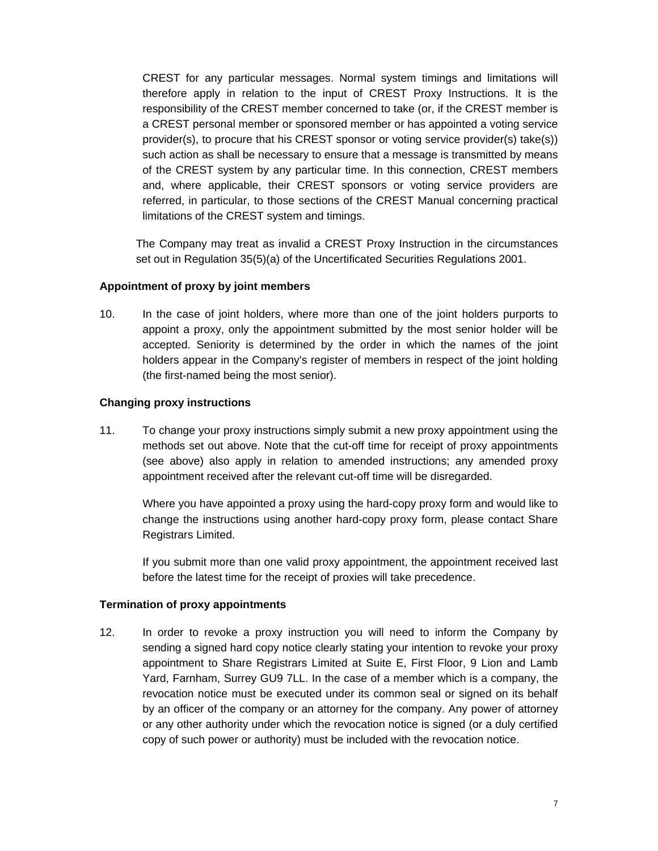CREST for any particular messages. Normal system timings and limitations will therefore apply in relation to the input of CREST Proxy Instructions. It is the responsibility of the CREST member concerned to take (or, if the CREST member is a CREST personal member or sponsored member or has appointed a voting service provider(s), to procure that his CREST sponsor or voting service provider(s) take(s)) such action as shall be necessary to ensure that a message is transmitted by means of the CREST system by any particular time. In this connection, CREST members and, where applicable, their CREST sponsors or voting service providers are referred, in particular, to those sections of the CREST Manual concerning practical limitations of the CREST system and timings.

The Company may treat as invalid a CREST Proxy Instruction in the circumstances set out in Regulation 35(5)(a) of the Uncertificated Securities Regulations 2001.

#### **Appointment of proxy by joint members**

10. In the case of joint holders, where more than one of the joint holders purports to appoint a proxy, only the appointment submitted by the most senior holder will be accepted. Seniority is determined by the order in which the names of the joint holders appear in the Company's register of members in respect of the joint holding (the first-named being the most senior).

#### **Changing proxy instructions**

11. To change your proxy instructions simply submit a new proxy appointment using the methods set out above. Note that the cut-off time for receipt of proxy appointments (see above) also apply in relation to amended instructions; any amended proxy appointment received after the relevant cut-off time will be disregarded.

Where you have appointed a proxy using the hard-copy proxy form and would like to change the instructions using another hard-copy proxy form, please contact Share Registrars Limited.

If you submit more than one valid proxy appointment, the appointment received last before the latest time for the receipt of proxies will take precedence.

#### **Termination of proxy appointments**

12. In order to revoke a proxy instruction you will need to inform the Company by sending a signed hard copy notice clearly stating your intention to revoke your proxy appointment to Share Registrars Limited at Suite E, First Floor, 9 Lion and Lamb Yard, Farnham, Surrey GU9 7LL. In the case of a member which is a company, the revocation notice must be executed under its common seal or signed on its behalf by an officer of the company or an attorney for the company. Any power of attorney or any other authority under which the revocation notice is signed (or a duly certified copy of such power or authority) must be included with the revocation notice.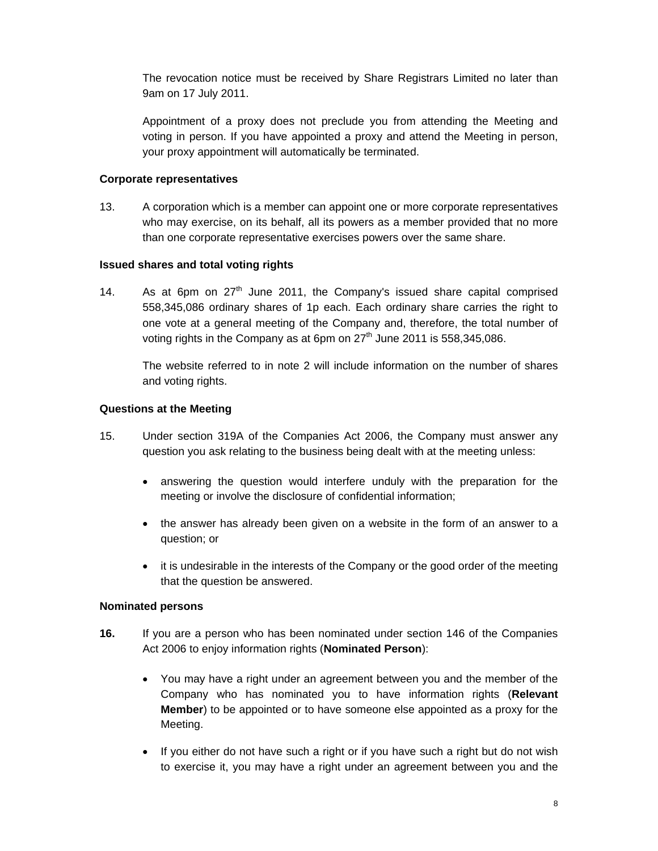The revocation notice must be received by Share Registrars Limited no later than 9am on 17 July 2011.

Appointment of a proxy does not preclude you from attending the Meeting and voting in person. If you have appointed a proxy and attend the Meeting in person, your proxy appointment will automatically be terminated.

#### **Corporate representatives**

13. A corporation which is a member can appoint one or more corporate representatives who may exercise, on its behalf, all its powers as a member provided that no more than one corporate representative exercises powers over the same share.

#### **Issued shares and total voting rights**

14. As at 6pm on  $27<sup>th</sup>$  June 2011, the Company's issued share capital comprised 558,345,086 ordinary shares of 1p each. Each ordinary share carries the right to one vote at a general meeting of the Company and, therefore, the total number of voting rights in the Company as at 6pm on  $27<sup>th</sup>$  June 2011 is 558,345,086.

The website referred to in note 2 will include information on the number of shares and voting rights.

#### **Questions at the Meeting**

- 15. Under section 319A of the Companies Act 2006, the Company must answer any question you ask relating to the business being dealt with at the meeting unless:
	- answering the question would interfere unduly with the preparation for the meeting or involve the disclosure of confidential information;
	- the answer has already been given on a website in the form of an answer to a question; or
	- it is undesirable in the interests of the Company or the good order of the meeting that the question be answered.

#### **Nominated persons**

- **16.** If you are a person who has been nominated under section 146 of the Companies Act 2006 to enjoy information rights (**Nominated Person**):
	- You may have a right under an agreement between you and the member of the Company who has nominated you to have information rights (**Relevant Member**) to be appointed or to have someone else appointed as a proxy for the Meeting.
	- If you either do not have such a right or if you have such a right but do not wish to exercise it, you may have a right under an agreement between you and the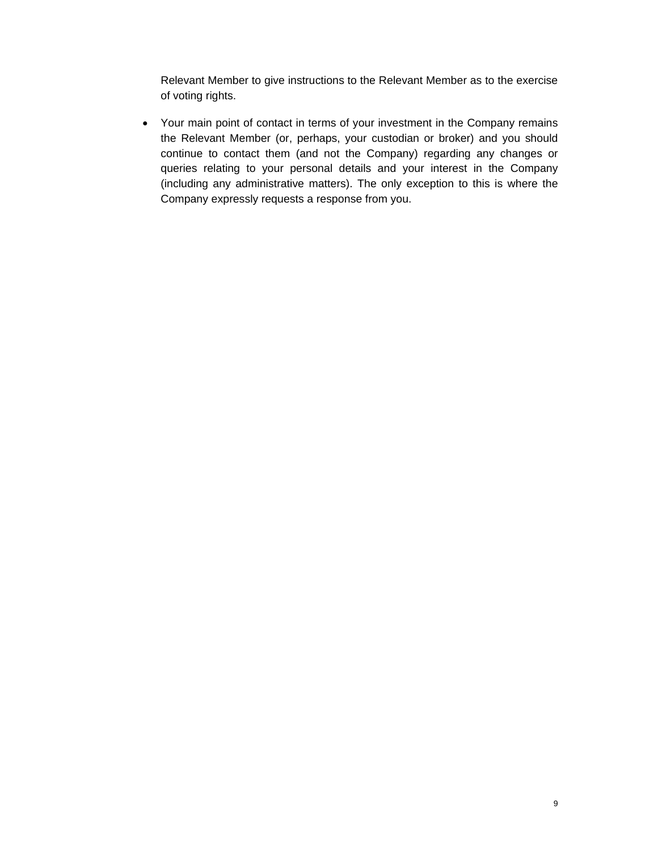Relevant Member to give instructions to the Relevant Member as to the exercise of voting rights.

• Your main point of contact in terms of your investment in the Company remains the Relevant Member (or, perhaps, your custodian or broker) and you should continue to contact them (and not the Company) regarding any changes or queries relating to your personal details and your interest in the Company (including any administrative matters). The only exception to this is where the Company expressly requests a response from you.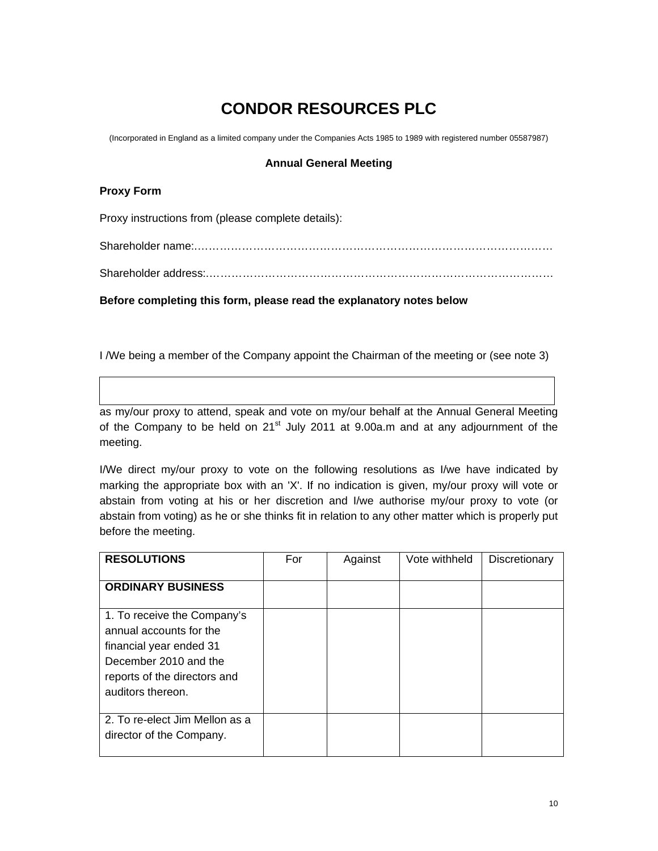### **CONDOR RESOURCES PLC**

(Incorporated in England as a limited company under the Companies Acts 1985 to 1989 with registered number 05587987)

#### **Annual General Meeting**

#### **Proxy Form**

Proxy instructions from (please complete details):

Shareholder name:.……………………………………………………………………………………

Shareholder address:.…………………………………………………………………………………

**Before completing this form, please read the explanatory notes below**

I /We being a member of the Company appoint the Chairman of the meeting or (see note 3)

as my/our proxy to attend, speak and vote on my/our behalf at the Annual General Meeting of the Company to be held on  $21<sup>st</sup>$  July 2011 at 9.00a.m and at any adjournment of the meeting.

I/We direct my/our proxy to vote on the following resolutions as I/we have indicated by marking the appropriate box with an 'X'. If no indication is given, my/our proxy will vote or abstain from voting at his or her discretion and I/we authorise my/our proxy to vote (or abstain from voting) as he or she thinks fit in relation to any other matter which is properly put before the meeting.

| <b>RESOLUTIONS</b>                                                                                                                                              | For | Against | Vote withheld | Discretionary |
|-----------------------------------------------------------------------------------------------------------------------------------------------------------------|-----|---------|---------------|---------------|
| <b>ORDINARY BUSINESS</b>                                                                                                                                        |     |         |               |               |
| 1. To receive the Company's<br>annual accounts for the<br>financial year ended 31<br>December 2010 and the<br>reports of the directors and<br>auditors thereon. |     |         |               |               |
| 2. To re-elect Jim Mellon as a<br>director of the Company.                                                                                                      |     |         |               |               |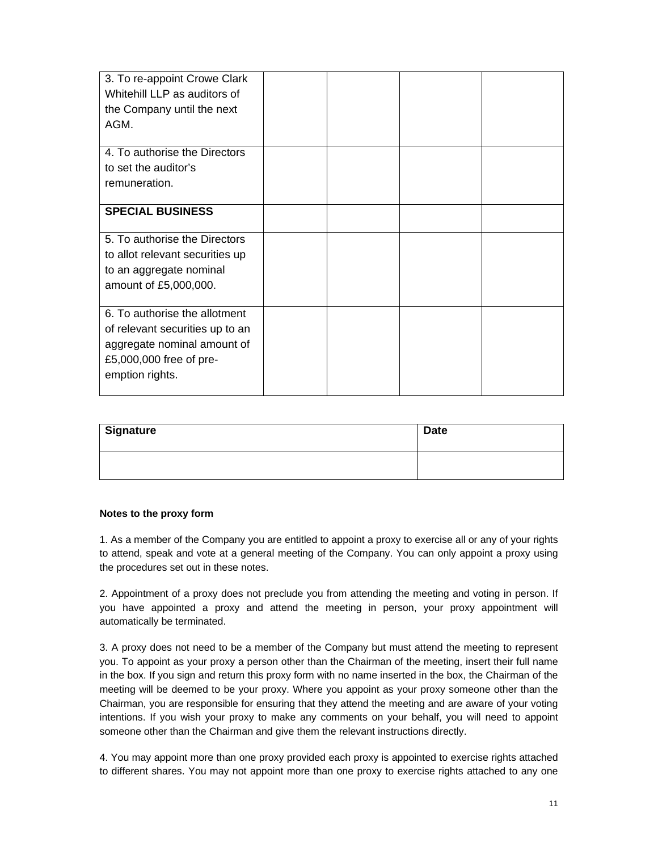| 3. To re-appoint Crowe Clark<br>Whitehill LLP as auditors of<br>the Company until the next<br>AGM.                                            |  |  |
|-----------------------------------------------------------------------------------------------------------------------------------------------|--|--|
| 4. To authorise the Directors<br>to set the auditor's<br>remuneration.                                                                        |  |  |
| <b>SPECIAL BUSINESS</b>                                                                                                                       |  |  |
| 5. To authorise the Directors<br>to allot relevant securities up<br>to an aggregate nominal<br>amount of £5,000,000.                          |  |  |
| 6. To authorise the allotment<br>of relevant securities up to an<br>aggregate nominal amount of<br>£5,000,000 free of pre-<br>emption rights. |  |  |

| Signature | <b>Date</b> |
|-----------|-------------|
|           |             |

#### **Notes to the proxy form**

1. As a member of the Company you are entitled to appoint a proxy to exercise all or any of your rights to attend, speak and vote at a general meeting of the Company. You can only appoint a proxy using the procedures set out in these notes.

2. Appointment of a proxy does not preclude you from attending the meeting and voting in person. If you have appointed a proxy and attend the meeting in person, your proxy appointment will automatically be terminated.

3. A proxy does not need to be a member of the Company but must attend the meeting to represent you. To appoint as your proxy a person other than the Chairman of the meeting, insert their full name in the box. If you sign and return this proxy form with no name inserted in the box, the Chairman of the meeting will be deemed to be your proxy. Where you appoint as your proxy someone other than the Chairman, you are responsible for ensuring that they attend the meeting and are aware of your voting intentions. If you wish your proxy to make any comments on your behalf, you will need to appoint someone other than the Chairman and give them the relevant instructions directly.

4. You may appoint more than one proxy provided each proxy is appointed to exercise rights attached to different shares. You may not appoint more than one proxy to exercise rights attached to any one